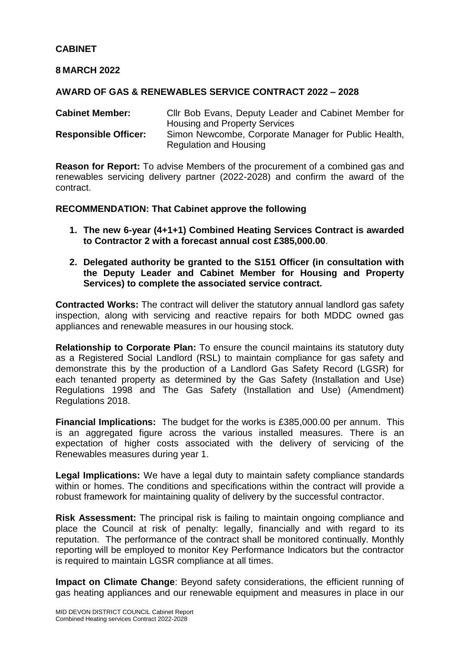### **CABINET**

### **8 MARCH 2022**

### **AWARD OF GAS & RENEWABLES SERVICE CONTRACT 2022 – 2028**

**Cabinet Member:** Cllr Bob Evans, Deputy Leader and Cabinet Member for Housing and Property Services **Responsible Officer:** Simon Newcombe, Corporate Manager for Public Health, Regulation and Housing

**Reason for Report:** To advise Members of the procurement of a combined gas and renewables servicing delivery partner (2022-2028) and confirm the award of the contract.

#### **RECOMMENDATION: That Cabinet approve the following**

- **1. The new 6-year (4+1+1) Combined Heating Services Contract is awarded to Contractor 2 with a forecast annual cost £385,000.00**.
- **2. Delegated authority be granted to the S151 Officer (in consultation with the Deputy Leader and Cabinet Member for Housing and Property Services) to complete the associated service contract.**

**Contracted Works:** The contract will deliver the statutory annual landlord gas safety inspection, along with servicing and reactive repairs for both MDDC owned gas appliances and renewable measures in our housing stock.

**Relationship to Corporate Plan:** To ensure the council maintains its statutory duty as a Registered Social Landlord (RSL) to maintain compliance for gas safety and demonstrate this by the production of a Landlord Gas Safety Record (LGSR) for each tenanted property as determined by the Gas Safety (Installation and Use) Regulations 1998 and The Gas Safety (Installation and Use) (Amendment) Regulations 2018.

**Financial Implications:** The budget for the works is £385,000.00 per annum. This is an aggregated figure across the various installed measures. There is an expectation of higher costs associated with the delivery of servicing of the Renewables measures during year 1.

**Legal Implications:** We have a legal duty to maintain safety compliance standards within or homes. The conditions and specifications within the contract will provide a robust framework for maintaining quality of delivery by the successful contractor.

**Risk Assessment:** The principal risk is failing to maintain ongoing compliance and place the Council at risk of penalty: legally, financially and with regard to its reputation. The performance of the contract shall be monitored continually. Monthly reporting will be employed to monitor Key Performance Indicators but the contractor is required to maintain LGSR compliance at all times.

**Impact on Climate Change**: Beyond safety considerations, the efficient running of gas heating appliances and our renewable equipment and measures in place in our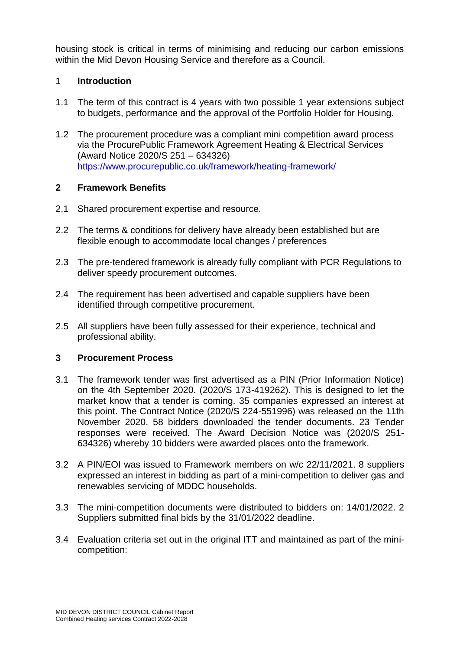housing stock is critical in terms of minimising and reducing our carbon emissions within the Mid Devon Housing Service and therefore as a Council.

# 1 **Introduction**

- 1.1 The term of this contract is 4 years with two possible 1 year extensions subject to budgets, performance and the approval of the Portfolio Holder for Housing.
- 1.2 The procurement procedure was a compliant mini competition award process via the ProcurePublic Framework Agreement Heating & Electrical Services (Award Notice 2020/S 251 – 634326) <https://www.procurepublic.co.uk/framework/heating-framework/>

### **2 Framework Benefits**

- 2.1 Shared procurement expertise and resource.
- 2.2 The terms & conditions for delivery have already been established but are flexible enough to accommodate local changes / preferences
- 2.3 The pre-tendered framework is already fully compliant with PCR Regulations to deliver speedy procurement outcomes.
- 2.4 The requirement has been advertised and capable suppliers have been identified through competitive procurement.
- 2.5 All suppliers have been fully assessed for their experience, technical and professional ability.

### **3 Procurement Process**

- 3.1 The framework tender was first advertised as a PIN (Prior Information Notice) on the 4th September 2020. (2020/S 173-419262). This is designed to let the market know that a tender is coming. 35 companies expressed an interest at this point. The Contract Notice (2020/S 224-551996) was released on the 11th November 2020. 58 bidders downloaded the tender documents. 23 Tender responses were received. The Award Decision Notice was (2020/S 251- 634326) whereby 10 bidders were awarded places onto the framework.
- 3.2 A PIN/EOI was issued to Framework members on w/c 22/11/2021. 8 suppliers expressed an interest in bidding as part of a mini-competition to deliver gas and renewables servicing of MDDC households.
- 3.3 The mini-competition documents were distributed to bidders on: 14/01/2022. 2 Suppliers submitted final bids by the 31/01/2022 deadline.
- 3.4 Evaluation criteria set out in the original ITT and maintained as part of the minicompetition: